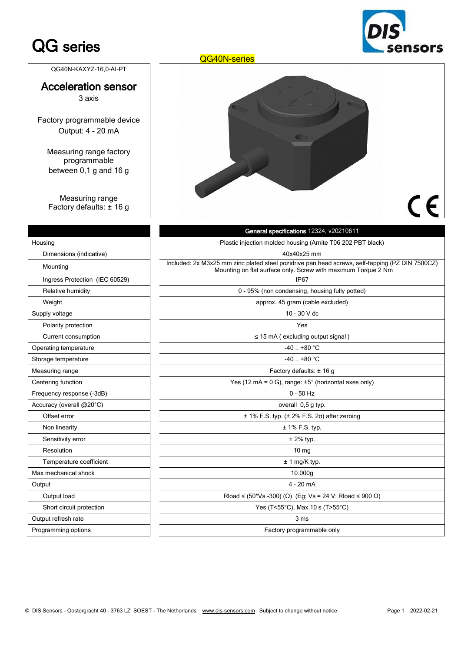# QG series

QG40N-KAXYZ-16,0-AI-PT

#### Acceleration sensor 3 axis

Factory programmable device Output: 4 - 20 mA

Measuring range factory programmable between 0,1 g and 16 g

Measuring range Factory defaults: ± 16 g

|  | LUIJ<br>$s\epsilon$ |
|--|---------------------|
|  |                     |
|  |                     |
|  |                     |

QG40N-series

## General specifications 12324, v20210611 Housing **Plastic injection molded housing (Arnite T06 202 PBT black)** Plastic injection molded housing (Arnite T06 202 PBT black) Dimensions (indicative) 40x40x25 mm Included: 2x M3x25 mm zinc plated steel pozidrive pan head screws, self-tapping (PZ DIN 7500CZ)<br>Mounting on the outline on the currical screw with movimum Terrus 3 Nm. Mounting on flat surface only. Screw with maximum Torque 2 Nm Ingress Protection (IEC 60529) IP67 Relative humidity **Relative humidity 1998** (non-condensing, housing fully potted) Weight **approx. 45 gram (cable excluded)** approx. 45 gram (cable excluded) Supply voltage **10 - 30 V** dc Polarity protection and the set of the set of the set of the set of the set of the set of the set of the set of the set of the set of the set of the set of the set of the set of the set of the set of the set of the set of Current consumption in the set of the set of the set of the set of the set of the set of the set of the set of the set of the set of the set of the set of the set of the set of the set of the set of the set of the set of Operating temperature  $\overline{a}$  ... +80 °C Storage temperature  $\overline{a}$  . +80 °C Measuring range **Factory defaults:** ± 16 g Centering function Yes (12 mA = 0 G), range: ±5° (horizontal axes only) Frequency response (-3dB) and the state of the state of the state of the state of the state of the state of the state of the state of the state of the state of the state of the state of the state of the state of the state Accuracy (overall @20°C) and the set of the set of the set of the set of the set of the set of the set of the set of the set of the set of the set of the set of the set of the set of the set of the set of the set of the se Offset error  $\pm 1\%$  F.S. typ. ( $\pm 2\%$  F.S. 2σ) after zeroing Non linearity  $\pm 1\%$  F.S. typ. Sensitivity error **by the sensitivity error** the sensitivity error that the sensitivity error that  $\pm 2\%$  typ. Resolution 10 mg Temperature coefficient  $\qquad \qquad \qquad$   $\qquad \qquad$   $\qquad \qquad$   $\qquad \qquad$   $\qquad \qquad$   $\qquad \qquad$   $\qquad \qquad$   $\qquad \qquad$   $\qquad \qquad$   $\qquad \qquad$   $\qquad \qquad$   $\qquad \qquad$   $\qquad \qquad$   $\qquad \qquad$   $\qquad \qquad$   $\qquad \qquad$   $\qquad \qquad$   $\qquad \qquad$   $\qquad \qquad$   $\qquad \qquad$   $\qquad \qquad$   $\qquad \q$ Max mechanical shock **10.000g** and the state of the state of the state of the state of the state of the state of the state of the state of the state of the state of the state of the state of the state of the state of the s Output 4 - 20 mA  $Output$  bad  $\nOutput$  and  $\n0$   $\n1.804 \times 10^{-10}$   $R$   $R$   $R$   $Q$   $(50<sup>*</sup>Vs -300)$   $(Ω)$   $(Eg: Vs = 24 V: R$   $R$   $Q$   $Q$ Short circuit protection **New Struck and Struck and Struck 2** Yes (T<55°C), Max 10 s (T>55°C) Output refresh rate 3 ms

Programming options **Factory programmable only Factory programmable only**